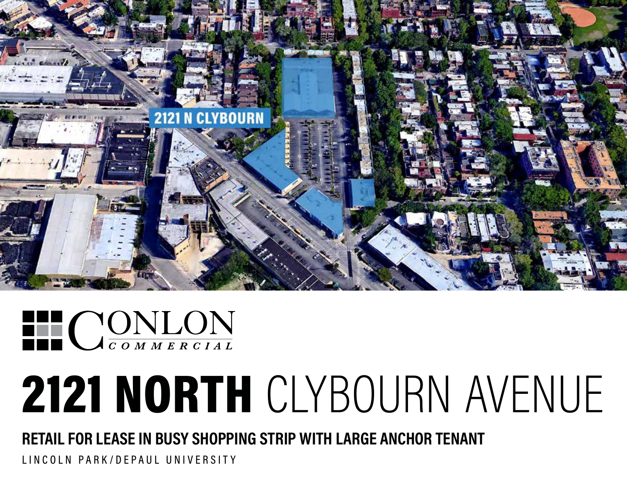



# 2121 NORTH CLYBOURN AVENUE

**RETAIL FOR LEASE IN BUSY SHOPPING STRIP WITH LARGE ANCHOR TENANT**

LINCOLN PARK/DEPAUL UNIVERSITY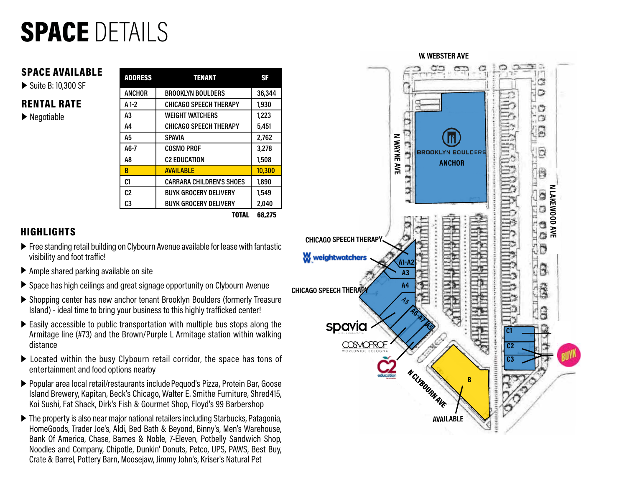### SPACE DETAILS

#### SPACE AVAILABLE

▶ Suite B: 10,300 SF

#### RENTAL RATE

▶ Negotiable

| <b>ADDRESS</b> | <b>TENANT</b>                   | <b>SF</b> |
|----------------|---------------------------------|-----------|
| <b>ANCHOR</b>  | <b>BROOKLYN BOULDERS</b>        | 36,344    |
| $A1-2$         | <b>CHICAGO SPEECH THERAPY</b>   | 1,930     |
| A3             | <b>WEIGHT WATCHERS</b>          | 1,223     |
| A4             | <b>CHICAGO SPEECH THERAPY</b>   | 5,451     |
| А5             | <b>SPAVIA</b>                   | 2.762     |
| $A6-7$         | <b>COSMO PROF</b>               | 3,278     |
| A8             | <b>C2 EDUCATION</b>             | 1,508     |
| B              | <b>AVAILABLE</b>                | 10,300    |
| C1             | <b>CARRARA CHILDREN'S SHOES</b> | 1,890     |
| C <sub>2</sub> | <b>BUYK GROCERY DELIVERY</b>    | 1,549     |
| C3             | <b>BUYK GROCERY DELIVERY</b>    | 2,040     |
|                | TATAI                           | CO 975    |



#### **HIGHLIGHTS**

- ▶ Free standing retail building on Clybourn Avenue available for lease with fantastic visibility and foot traffic!
- ▶ Ample shared parking available on site
- ▶ Space has high ceilings and great signage opportunity on Clybourn Avenue
- ▶ Shopping center has new anchor tenant Brooklyn Boulders (formerly Treasure Island) - ideal time to bring your business to this highly trafficked center!
- ▶ Easily accessible to public transportation with multiple bus stops along the Armitage line (#73) and the Brown/Purple L Armitage station within walking distance
- ▶ Located within the busy Clybourn retail corridor, the space has tons of entertainment and food options nearby
- ▶ Popular area local retail/restaurants include Pequod's Pizza, Protein Bar, Goose Island Brewery, Kapitan, Beck's Chicago, Walter E. Smithe Furniture, Shred415, Koi Sushi, Fat Shack, Dirk's Fish & Gourmet Shop, Floyd's 99 Barbershop
- ▶ The property is also near major national retailers including Starbucks, Patagonia, HomeGoods, Trader Joe's, Aldi, Bed Bath & Beyond, Binny's, Men's Warehouse, Bank Of America, Chase, Barnes & Noble, 7-Eleven, Potbelly Sandwich Shop, Noodles and Company, Chipotle, Dunkin' Donuts, Petco, UPS, PAWS, Best Buy, Crate & Barrel, Pottery Barn, Moosejaw, Jimmy John's, Kriser's Natural Pet

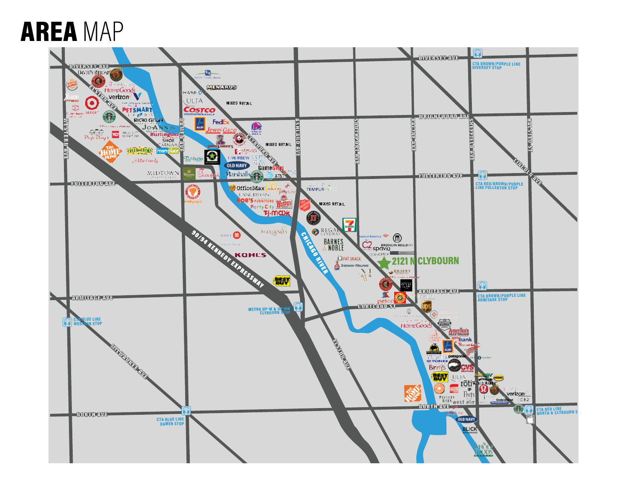### AREA MAP

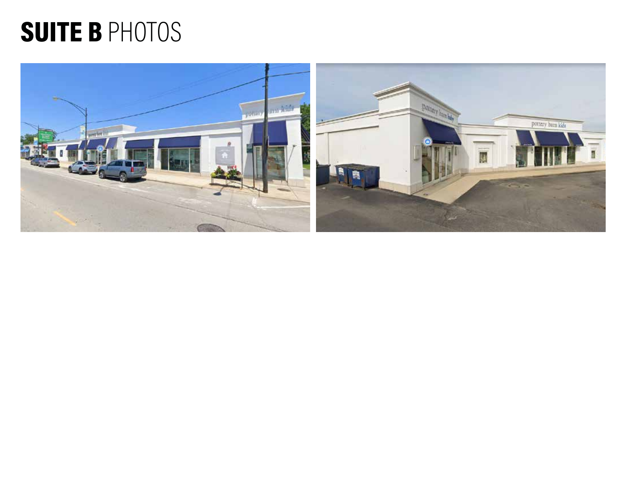### SUITE B PHOTOS